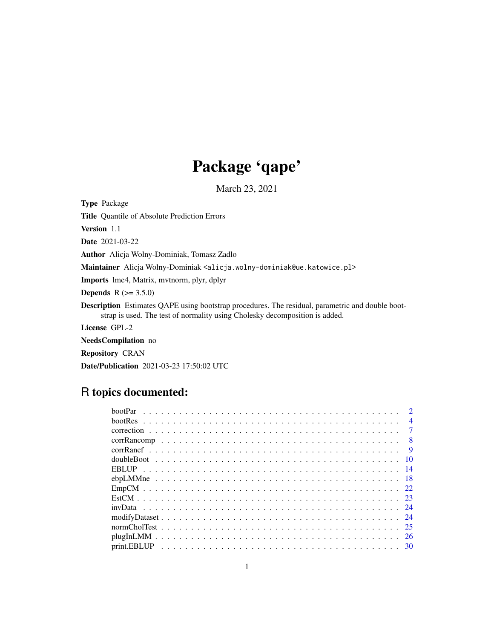# Package 'qape'

March 23, 2021

Type Package

Title Quantile of Absolute Prediction Errors

Version 1.1

Date 2021-03-22

Author Alicja Wolny-Dominiak, Tomasz Zadlo

Maintainer Alicja Wolny-Dominiak <alicja.wolny-dominiak@ue.katowice.pl>

Imports lme4, Matrix, mvtnorm, plyr, dplyr

**Depends** R  $(>= 3.5.0)$ 

Description Estimates QAPE using bootstrap procedures. The residual, parametric and double bootstrap is used. The test of normality using Cholesky decomposition is added.

License GPL-2

NeedsCompilation no

Repository CRAN

Date/Publication 2021-03-23 17:50:02 UTC

# R topics documented:

|  |  |  |  |  |  |  |  |  |  |  |  |  |  |  |  |  |  |  | $\mathcal{D}$  |
|--|--|--|--|--|--|--|--|--|--|--|--|--|--|--|--|--|--|--|----------------|
|  |  |  |  |  |  |  |  |  |  |  |  |  |  |  |  |  |  |  | $\overline{4}$ |
|  |  |  |  |  |  |  |  |  |  |  |  |  |  |  |  |  |  |  | -7             |
|  |  |  |  |  |  |  |  |  |  |  |  |  |  |  |  |  |  |  | -8             |
|  |  |  |  |  |  |  |  |  |  |  |  |  |  |  |  |  |  |  | $\overline{9}$ |
|  |  |  |  |  |  |  |  |  |  |  |  |  |  |  |  |  |  |  | -10            |
|  |  |  |  |  |  |  |  |  |  |  |  |  |  |  |  |  |  |  |                |
|  |  |  |  |  |  |  |  |  |  |  |  |  |  |  |  |  |  |  |                |
|  |  |  |  |  |  |  |  |  |  |  |  |  |  |  |  |  |  |  |                |
|  |  |  |  |  |  |  |  |  |  |  |  |  |  |  |  |  |  |  |                |
|  |  |  |  |  |  |  |  |  |  |  |  |  |  |  |  |  |  |  |                |
|  |  |  |  |  |  |  |  |  |  |  |  |  |  |  |  |  |  |  |                |
|  |  |  |  |  |  |  |  |  |  |  |  |  |  |  |  |  |  |  |                |
|  |  |  |  |  |  |  |  |  |  |  |  |  |  |  |  |  |  |  | -26            |
|  |  |  |  |  |  |  |  |  |  |  |  |  |  |  |  |  |  |  |                |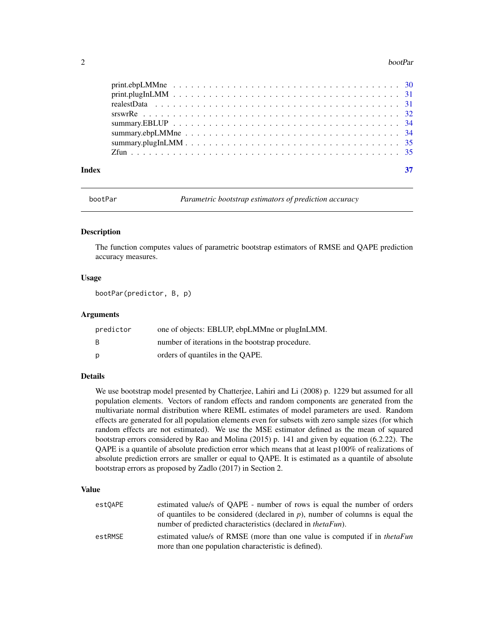#### <span id="page-1-0"></span>2 bootPar

| Index |  |  |  |  |  |  |  |  |  |  |  |  |  |  |  |  | 37 |
|-------|--|--|--|--|--|--|--|--|--|--|--|--|--|--|--|--|----|
|       |  |  |  |  |  |  |  |  |  |  |  |  |  |  |  |  |    |
|       |  |  |  |  |  |  |  |  |  |  |  |  |  |  |  |  |    |
|       |  |  |  |  |  |  |  |  |  |  |  |  |  |  |  |  |    |
|       |  |  |  |  |  |  |  |  |  |  |  |  |  |  |  |  |    |
|       |  |  |  |  |  |  |  |  |  |  |  |  |  |  |  |  |    |
|       |  |  |  |  |  |  |  |  |  |  |  |  |  |  |  |  |    |
|       |  |  |  |  |  |  |  |  |  |  |  |  |  |  |  |  |    |

bootPar *Parametric bootstrap estimators of prediction accuracy*

### Description

The function computes values of parametric bootstrap estimators of RMSE and QAPE prediction accuracy measures.

# Usage

bootPar(predictor, B, p)

# Arguments

| predictor    | one of objects: EBLUP, ebpLMMne or plugInLMM.    |
|--------------|--------------------------------------------------|
| <sub>B</sub> | number of iterations in the bootstrap procedure. |
| D            | orders of quantiles in the OAPE.                 |

# Details

We use bootstrap model presented by Chatterjee, Lahiri and Li (2008) p. 1229 but assumed for all population elements. Vectors of random effects and random components are generated from the multivariate normal distribution where REML estimates of model parameters are used. Random effects are generated for all population elements even for subsets with zero sample sizes (for which random effects are not estimated). We use the MSE estimator defined as the mean of squared bootstrap errors considered by Rao and Molina (2015) p. 141 and given by equation (6.2.22). The QAPE is a quantile of absolute prediction error which means that at least p100% of realizations of absolute prediction errors are smaller or equal to QAPE. It is estimated as a quantile of absolute bootstrap errors as proposed by Zadlo (2017) in Section 2.

#### Value

| estQAPE | estimated value/s of QAPE - number of rows is equal the number of orders         |
|---------|----------------------------------------------------------------------------------|
|         | of quantiles to be considered (declared in $p$ ), number of columns is equal the |
|         | number of predicted characteristics (declared in <i>thetaFun</i> ).              |
| estRMSE | estimated value/s of RMSE (more than one value is computed if in <i>thetaFun</i> |
|         | more than one population characteristic is defined).                             |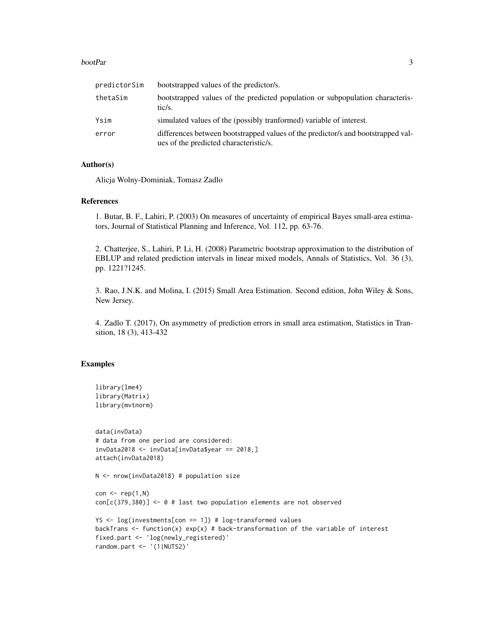#### bootPar 3

| predictorSim | bootstrapped values of the predictor/s.                                                                                    |
|--------------|----------------------------------------------------------------------------------------------------------------------------|
| thetaSim     | bootstrapped values of the predicted population or subpopulation characteris-<br>tic/s.                                    |
| Ysim         | simulated values of the (possibly tranformed) variable of interest.                                                        |
| error        | differences between bootstrapped values of the predictor/s and bootstrapped val-<br>ues of the predicted characteristic/s. |

# Author(s)

Alicja Wolny-Dominiak, Tomasz Zadlo

#### References

1. Butar, B. F., Lahiri, P. (2003) On measures of uncertainty of empirical Bayes small-area estimators, Journal of Statistical Planning and Inference, Vol. 112, pp. 63-76.

2. Chatterjee, S., Lahiri, P. Li, H. (2008) Parametric bootstrap approximation to the distribution of EBLUP and related prediction intervals in linear mixed models, Annals of Statistics, Vol. 36 (3), pp. 1221?1245.

3. Rao, J.N.K. and Molina, I. (2015) Small Area Estimation. Second edition, John Wiley & Sons, New Jersey.

4. Zadlo T. (2017), On asymmetry of prediction errors in small area estimation, Statistics in Transition, 18 (3), 413-432

```
library(lme4)
library(Matrix)
library(mvtnorm)
data(invData)
# data from one period are considered:
invData2018 <- invData[invData$year == 2018,]
attach(invData2018)
N <- nrow(invData2018) # population size
con < rep(1,N)con[c(379,380)] <- 0 # last two population elements are not observed
YS <- log(investments[con == 1]) # log-transformed values
backTrans \leq function(x) exp(x) # back-transformation of the variable of interest
fixed.part <- 'log(newly_registered)'
random.part <- '(1|NUTS2)'
```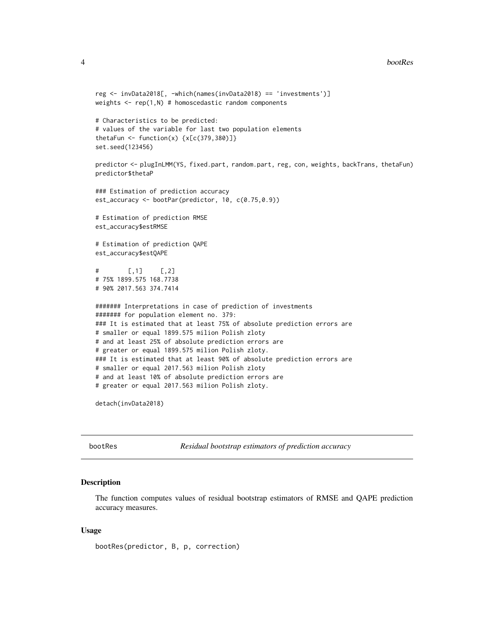#### 4 bootRes

```
reg <- invData2018[, -which(names(invData2018) == 'investments')]
weights \leq rep(1,N) # homoscedastic random components
# Characteristics to be predicted:
# values of the variable for last two population elements
thetaFun \le function(x) \{x[c(379, 380)]\}set.seed(123456)
predictor <- plugInLMM(YS, fixed.part, random.part, reg, con, weights, backTrans, thetaFun)
predictor$thetaP
### Estimation of prediction accuracy
est_accuracy <- bootPar(predictor, 10, c(0.75,0.9))
# Estimation of prediction RMSE
est_accuracy$estRMSE
# Estimation of prediction QAPE
est_accuracy$estQAPE
# [,1] [,2]
# 75% 1899.575 168.7738
# 90% 2017.563 374.7414
####### Interpretations in case of prediction of investments
####### for population element no. 379:
### It is estimated that at least 75% of absolute prediction errors are
# smaller or equal 1899.575 milion Polish zloty
# and at least 25% of absolute prediction errors are
# greater or equal 1899.575 milion Polish zloty.
### It is estimated that at least 90% of absolute prediction errors are
# smaller or equal 2017.563 milion Polish zloty
# and at least 10% of absolute prediction errors are
# greater or equal 2017.563 milion Polish zloty.
```
detach(invData2018)

bootRes *Residual bootstrap estimators of prediction accuracy*

### Description

The function computes values of residual bootstrap estimators of RMSE and QAPE prediction accuracy measures.

#### Usage

bootRes(predictor, B, p, correction)

<span id="page-3-0"></span>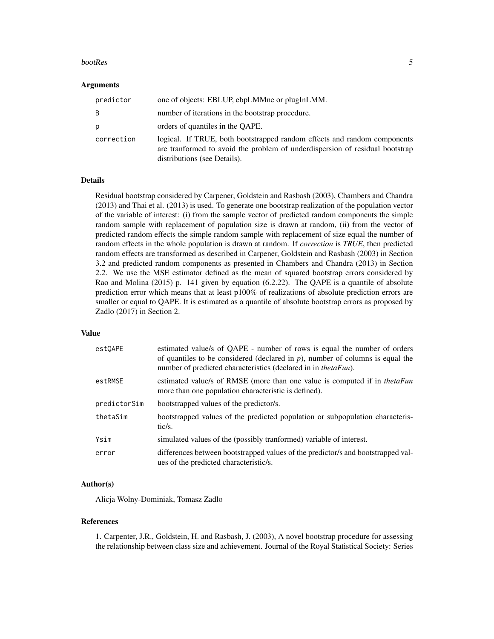#### bootRes 5

#### Arguments

| predictor  | one of objects: EBLUP, ebpLMMne or plugInLMM.                                                                                                                                            |
|------------|------------------------------------------------------------------------------------------------------------------------------------------------------------------------------------------|
| B          | number of iterations in the bootstrap procedure.                                                                                                                                         |
| р          | orders of quantiles in the OAPE.                                                                                                                                                         |
| correction | logical. If TRUE, both bootstrapped random effects and random components<br>are tranformed to avoid the problem of underdispersion of residual bootstrap<br>distributions (see Details). |

#### Details

Residual bootstrap considered by Carpener, Goldstein and Rasbash (2003), Chambers and Chandra (2013) and Thai et al. (2013) is used. To generate one bootstrap realization of the population vector of the variable of interest: (i) from the sample vector of predicted random components the simple random sample with replacement of population size is drawn at random, (ii) from the vector of predicted random effects the simple random sample with replacement of size equal the number of random effects in the whole population is drawn at random. If *correction* is *TRUE*, then predicted random effects are transformed as described in Carpener, Goldstein and Rasbash (2003) in Section 3.2 and predicted random components as presented in Chambers and Chandra (2013) in Section 2.2. We use the MSE estimator defined as the mean of squared bootstrap errors considered by Rao and Molina (2015) p. 141 given by equation (6.2.22). The QAPE is a quantile of absolute prediction error which means that at least p100% of realizations of absolute prediction errors are smaller or equal to QAPE. It is estimated as a quantile of absolute bootstrap errors as proposed by Zadlo (2017) in Section 2.

# Value

| estOAPE      | estimated value/s of QAPE - number of rows is equal the number of orders<br>of quantiles to be considered (declared in $p$ ), number of columns is equal the<br>number of predicted characteristics (declared in in <i>thetaFun</i> ). |
|--------------|----------------------------------------------------------------------------------------------------------------------------------------------------------------------------------------------------------------------------------------|
| estRMSE      | estimated value/s of RMSE (more than one value is computed if in <i>thetaFun</i><br>more than one population characteristic is defined).                                                                                               |
| predictorSim | bootstrapped values of the predictor/s.                                                                                                                                                                                                |
| thetaSim     | bootstrapped values of the predicted population or subpopulation characteris-<br>tic/s.                                                                                                                                                |
| Ysim         | simulated values of the (possibly tranformed) variable of interest.                                                                                                                                                                    |
| error        | differences between bootstrapped values of the predictor/s and bootstrapped val-<br>ues of the predicted characteristic/s.                                                                                                             |

# Author(s)

Alicja Wolny-Dominiak, Tomasz Zadlo

#### References

1. Carpenter, J.R., Goldstein, H. and Rasbash, J. (2003), A novel bootstrap procedure for assessing the relationship between class size and achievement. Journal of the Royal Statistical Society: Series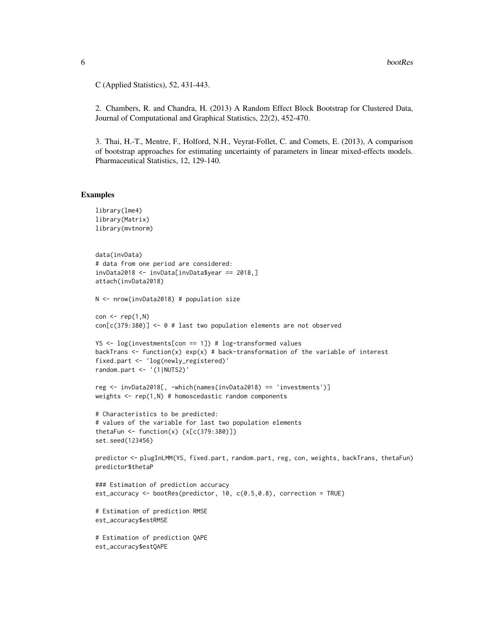C (Applied Statistics), 52, 431-443.

2. Chambers, R. and Chandra, H. (2013) A Random Effect Block Bootstrap for Clustered Data, Journal of Computational and Graphical Statistics, 22(2), 452-470.

3. Thai, H.-T., Mentre, F., Holford, N.H., Veyrat-Follet, C. and Comets, E. (2013), A comparison of bootstrap approaches for estimating uncertainty of parameters in linear mixed-effects models. Pharmaceutical Statistics, 12, 129-140.

```
library(lme4)
library(Matrix)
library(mvtnorm)
data(invData)
# data from one period are considered:
invData2018 <- invData[invData$year == 2018,]
attach(invData2018)
N <- nrow(invData2018) # population size
con \leq rep(1,N)
con[c(379:380)] \le 0 # last two population elements are not observed
YS \leq log(investments[con == 1]) # log-transformed values
backTrans \leq function(x) exp(x) # back-transformation of the variable of interest
fixed.part <- 'log(newly_registered)'
random.part <- '(1|NUTS2)'
reg <- invData2018[, -which(names(invData2018) == 'investments')]
weights \leq rep(1,N) # homoscedastic random components
# Characteristics to be predicted:
# values of the variable for last two population elements
thetaFun \le function(x) \{x[c(379:380)]\}set.seed(123456)
predictor <- plugInLMM(YS, fixed.part, random.part, reg, con, weights, backTrans, thetaFun)
predictor$thetaP
### Estimation of prediction accuracy
est_accuracy <- bootRes(predictor, 10, c(0.5,0.8), correction = TRUE)
# Estimation of prediction RMSE
est_accuracy$estRMSE
# Estimation of prediction QAPE
est_accuracy$estQAPE
```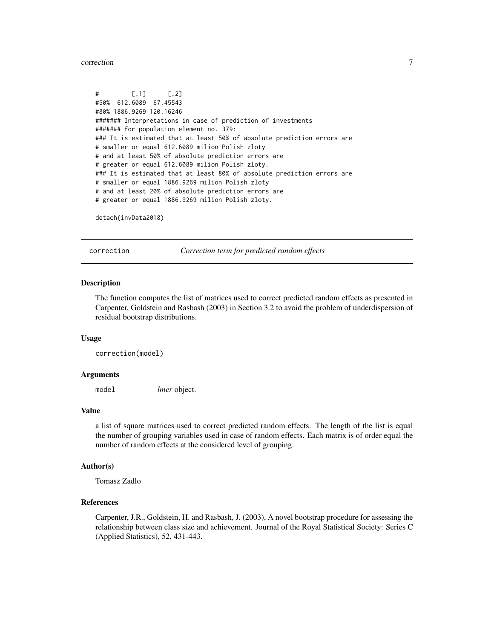#### <span id="page-6-0"></span>correction **7**

 $#$  [,1] [,2] #50% 612.6089 67.45543 #80% 1886.9269 120.16246 ####### Interpretations in case of prediction of investments ####### for population element no. 379: ### It is estimated that at least 50% of absolute prediction errors are # smaller or equal 612.6089 milion Polish zloty # and at least 50% of absolute prediction errors are # greater or equal 612.6089 milion Polish zloty. ### It is estimated that at least 80% of absolute prediction errors are # smaller or equal 1886.9269 milion Polish zloty # and at least 20% of absolute prediction errors are # greater or equal 1886.9269 milion Polish zloty.

detach(invData2018)

correction *Correction term for predicted random effects*

#### Description

The function computes the list of matrices used to correct predicted random effects as presented in Carpenter, Goldstein and Rasbash (2003) in Section 3.2 to avoid the problem of underdispersion of residual bootstrap distributions.

#### Usage

correction(model)

#### Arguments

model *lmer* object.

#### Value

a list of square matrices used to correct predicted random effects. The length of the list is equal the number of grouping variables used in case of random effects. Each matrix is of order equal the number of random effects at the considered level of grouping.

#### Author(s)

Tomasz Zadlo

### References

Carpenter, J.R., Goldstein, H. and Rasbash, J. (2003), A novel bootstrap procedure for assessing the relationship between class size and achievement. Journal of the Royal Statistical Society: Series C (Applied Statistics), 52, 431-443.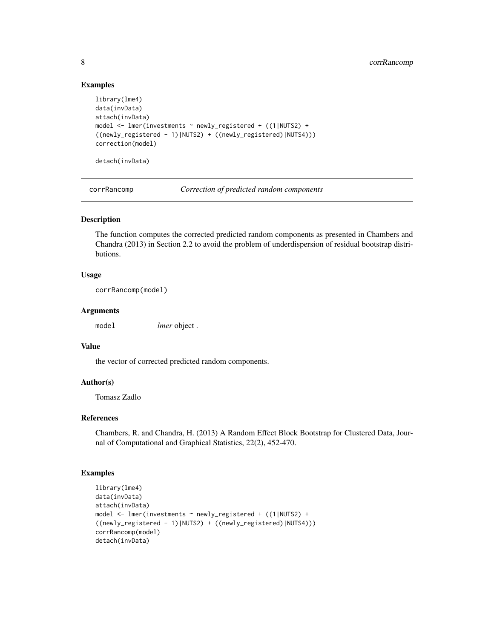# Examples

```
library(lme4)
data(invData)
attach(invData)
model <- lmer(investments ~ newly_registered + ((1|NUTS2) +
((newly_registered - 1)|NUTS2) + ((newly_registered)|NUTS4)))
correction(model)
detach(invData)
```
corrRancomp *Correction of predicted random components*

# Description

The function computes the corrected predicted random components as presented in Chambers and Chandra (2013) in Section 2.2 to avoid the problem of underdispersion of residual bootstrap distributions.

# Usage

```
corrRancomp(model)
```
# Arguments

model *lmer* object .

# Value

the vector of corrected predicted random components.

# Author(s)

Tomasz Zadlo

# References

Chambers, R. and Chandra, H. (2013) A Random Effect Block Bootstrap for Clustered Data, Journal of Computational and Graphical Statistics, 22(2), 452-470.

```
library(lme4)
data(invData)
attach(invData)
model <- lmer(investments ~ newly_registered + ((1|NUTS2) +
((newly_registered - 1)|NUTS2) + ((newly_registered)|NUTS4)))
corrRancomp(model)
detach(invData)
```
<span id="page-7-0"></span>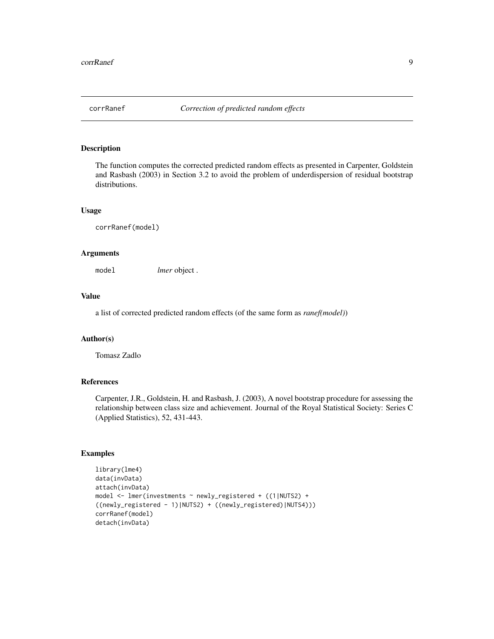<span id="page-8-0"></span>

# Description

The function computes the corrected predicted random effects as presented in Carpenter, Goldstein and Rasbash (2003) in Section 3.2 to avoid the problem of underdispersion of residual bootstrap distributions.

#### Usage

corrRanef(model)

# Arguments

model *lmer* object .

# Value

a list of corrected predicted random effects (of the same form as *ranef(model)*)

# Author(s)

Tomasz Zadlo

# References

Carpenter, J.R., Goldstein, H. and Rasbash, J. (2003), A novel bootstrap procedure for assessing the relationship between class size and achievement. Journal of the Royal Statistical Society: Series C (Applied Statistics), 52, 431-443.

```
library(lme4)
data(invData)
attach(invData)
model <- lmer(investments ~ newly_registered + ((1|NUTS2) +
((newly_registered - 1)|NUTS2) + ((newly_registered)|NUTS4)))
corrRanef(model)
detach(invData)
```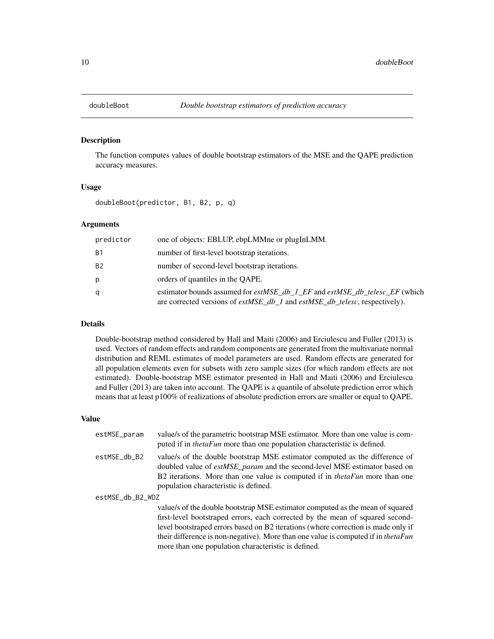<span id="page-9-0"></span>

## Description

The function computes values of double bootstrap estimators of the MSE and the QAPE prediction accuracy measures.

# Usage

doubleBoot(predictor, B1, B2, p, q)

# Arguments

| predictor | one of objects: EBLUP, ebpLMMne or plugInLMM.                                                                                                                                         |
|-----------|---------------------------------------------------------------------------------------------------------------------------------------------------------------------------------------|
| <b>B1</b> | number of first-level bootstrap iterations.                                                                                                                                           |
| <b>B2</b> | number of second-level bootstrap iterations.                                                                                                                                          |
| р         | orders of quantiles in the OAPE.                                                                                                                                                      |
| q         | estimator bounds assumed for <i>estMSE db 1 EF</i> and <i>estMSE db telesc EF</i> (which<br>are corrected versions of <i>estMSE_db_1</i> and <i>estMSE_db_telesc</i> , respectively). |

# Details

Double-bootstrap method considered by Hall and Maiti (2006) and Erciulescu and Fuller (2013) is used. Vectors of random effects and random components are generated from the multivariate normal distribution and REML estimates of model parameters are used. Random effects are generated for all population elements even for subsets with zero sample sizes (for which random effects are not estimated). Double-bootstrap MSE estimator presented in Hall and Maiti (2006) and Erciulescu and Fuller (2013) are taken into account. The QAPE is a quantile of absolute prediction error which means that at least p100% of realizations of absolute prediction errors are smaller or equal to QAPE.

#### Value

| estMSE_param     | value/s of the parametric bootstrap MSE estimator. More than one value is com-<br>puted if in <i>thetaFun</i> more than one population characteristic is defined.                                                                                                                              |
|------------------|------------------------------------------------------------------------------------------------------------------------------------------------------------------------------------------------------------------------------------------------------------------------------------------------|
| estMSE_db_B2     | value/s of the double bootstrap MSE estimator computed as the difference of<br>doubled value of <i>estMSE_param</i> and the second-level MSE estimator based on<br>B2 iterations. More than one value is computed if in <i>thetaFun</i> more than one<br>population characteristic is defined. |
| estMSE_db_B2_WDZ |                                                                                                                                                                                                                                                                                                |
|                  | value/s of the double bootstrap MSE estimator computed as the mean of squared<br>first-level bootstraped errors, each corrected by the mean of squared second-                                                                                                                                 |

first-level bootstraped errors, each corrected by the mean of squared secondlevel bootstraped errors based on B2 iterations (where correction is made only if their difference is non-negative). More than one value is computed if in *thetaFun* more than one population characteristic is defined.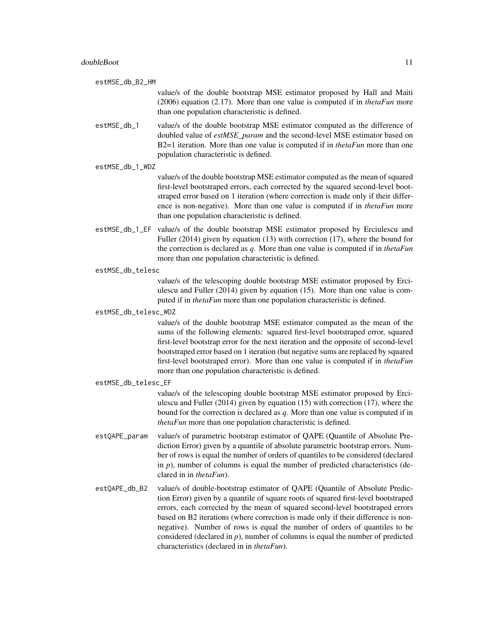estMSE\_db\_B2\_HM

value/s of the double bootstrap MSE estimator proposed by Hall and Maiti (2006) equation (2.17). More than one value is computed if in *thetaFun* more than one population characteristic is defined.

- estMSE\_db\_1 value/s of the double bootstrap MSE estimator computed as the difference of doubled value of *estMSE\_param* and the second-level MSE estimator based on B2=1 iteration. More than one value is computed if in *thetaFun* more than one population characteristic is defined.
- estMSE\_db\_1\_WDZ

value/s of the double bootstrap MSE estimator computed as the mean of squared first-level bootstraped errors, each corrected by the squared second-level bootstraped error based on 1 iteration (where correction is made only if their difference is non-negative). More than one value is computed if in *thetaFun* more than one population characteristic is defined.

- estMSE\_db\_1\_EF value/s of the double bootstrap MSE estimator proposed by Erciulescu and Fuller (2014) given by equation (13) with correction (17), where the bound for the correction is declared as *q*. More than one value is computed if in *thetaFun* more than one population characteristic is defined.
- estMSE\_db\_telesc

value/s of the telescoping double bootstrap MSE estimator proposed by Erciulescu and Fuller (2014) given by equation (15). More than one value is computed if in *thetaFun* more than one population characteristic is defined.

#### estMSE\_db\_telesc\_WDZ

value/s of the double bootstrap MSE estimator computed as the mean of the sums of the following elements: squared first-level bootstraped error, squared first-level bootstrap error for the next iteration and the opposite of second-level bootstraped error based on 1 iteration (but negative sums are replaced by squared first-level bootstraped error). More than one value is computed if in *thetaFun* more than one population characteristic is defined.

#### estMSE\_db\_telesc\_EF

value/s of the telescoping double bootstrap MSE estimator proposed by Erciulescu and Fuller (2014) given by equation (15) with correction (17), where the bound for the correction is declared as *q*. More than one value is computed if in *thetaFun* more than one population characteristic is defined.

- estQAPE\_param value/s of parametric bootstrap estimator of QAPE (Quantile of Absolute Prediction Error) given by a quantile of absolute parametric bootstrap errors. Number of rows is equal the number of orders of quantiles to be considered (declared in  $p$ ), number of columns is equal the number of predicted characteristics (declared in in *thetaFun*).
- estQAPE\_db\_B2 value/s of double-bootstrap estimator of QAPE (Quantile of Absolute Prediction Error) given by a quantile of square roots of squared first-level bootstraped errors, each corrected by the mean of squared second-level bootstraped errors based on B2 iterations (where correction is made only if their difference is nonnegative). Number of rows is equal the number of orders of quantiles to be considered (declared in *p*), number of columns is equal the number of predicted characteristics (declared in in *thetaFun*).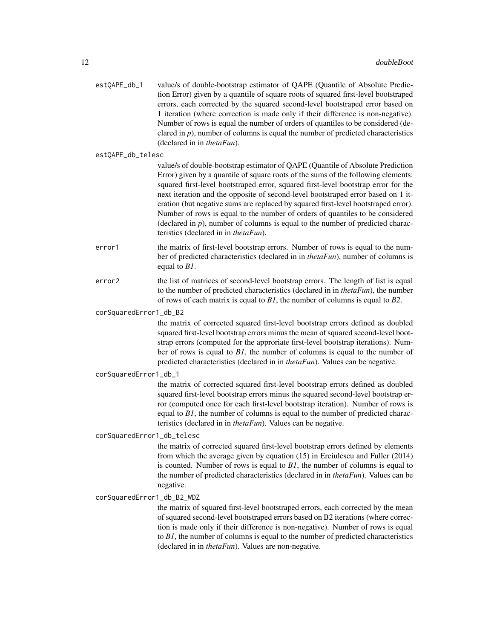| estQAPE_db_1 | value/s of double-bootstrap estimator of QAPE (Quantile of Absolute Predic-         |
|--------------|-------------------------------------------------------------------------------------|
|              | tion Error) given by a quantile of square roots of squared first-level bootstraped  |
|              | errors, each corrected by the squared second-level bootstraped error based on       |
|              | 1 iteration (where correction is made only if their difference is non-negative).    |
|              | Number of rows is equal the number of orders of quantiles to be considered (de-     |
|              | clared in $p$ ), number of columns is equal the number of predicted characteristics |
|              | (declared in in <i>thetaFun</i> ).                                                  |
|              |                                                                                     |

#### estQAPE\_db\_telesc

value/s of double-bootstrap estimator of QAPE (Quantile of Absolute Prediction Error) given by a quantile of square roots of the sums of the following elements: squared first-level bootstraped error, squared first-level bootstrap error for the next iteration and the opposite of second-level bootstraped error based on 1 iteration (but negative sums are replaced by squared first-level bootstraped error). Number of rows is equal to the number of orders of quantiles to be considered (declared in  $p$ ), number of columns is equal to the number of predicted characteristics (declared in in *thetaFun*).

- error1 the matrix of first-level bootstrap errors. Number of rows is equal to the number of predicted characteristics (declared in in *thetaFun*), number of columns is equal to *B1*.
- error<sub>2</sub> the list of matrices of second-level bootstrap errors. The length of list is equal to the number of predicted characteristics (declared in in *thetaFun*), the number of rows of each matrix is equal to *B1*, the number of columns is equal to *B2*.

#### corSquaredError1\_db\_B2

the matrix of corrected squared first-level bootstrap errors defined as doubled squared first-level bootstrap errors minus the mean of squared second-level bootstrap errors (computed for the approriate first-level bootstrap iterations). Number of rows is equal to *B1*, the number of columns is equal to the number of predicted characteristics (declared in in *thetaFun*). Values can be negative.

#### corSquaredError1\_db\_1

the matrix of corrected squared first-level bootstrap errors defined as doubled squared first-level bootstrap errors minus the squared second-level bootstrap error (computed once for each first-level bootstrap iteration). Number of rows is equal to *B1*, the number of columns is equal to the number of predicted characteristics (declared in in *thetaFun*). Values can be negative.

corSquaredError1\_db\_telesc

the matrix of corrected squared first-level bootstrap errors defined by elements from which the average given by equation (15) in Erciulescu and Fuller (2014) is counted. Number of rows is equal to *B1*, the number of columns is equal to the number of predicted characteristics (declared in in *thetaFun*). Values can be negative.

#### corSquaredError1\_db\_B2\_WDZ

the matrix of squared first-level bootstraped errors, each corrected by the mean of squared second-level bootstraped errors based on B2 iterations (where correction is made only if their difference is non-negative). Number of rows is equal to *B1*, the number of columns is equal to the number of predicted characteristics (declared in in *thetaFun*). Values are non-negative.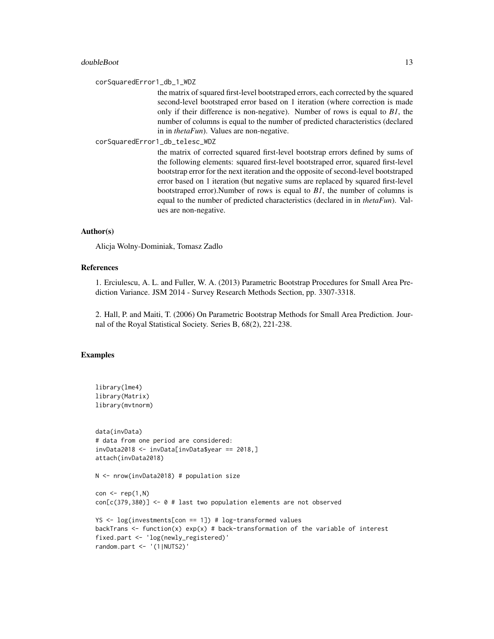#### doubleBoot 13

corSquaredError1\_db\_1\_WDZ

the matrix of squared first-level bootstraped errors, each corrected by the squared second-level bootstraped error based on 1 iteration (where correction is made only if their difference is non-negative). Number of rows is equal to *B1*, the number of columns is equal to the number of predicted characteristics (declared in in *thetaFun*). Values are non-negative.

corSquaredError1\_db\_telesc\_WDZ

the matrix of corrected squared first-level bootstrap errors defined by sums of the following elements: squared first-level bootstraped error, squared first-level bootstrap error for the next iteration and the opposite of second-level bootstraped error based on 1 iteration (but negative sums are replaced by squared first-level bootstraped error).Number of rows is equal to *B1*, the number of columns is equal to the number of predicted characteristics (declared in in *thetaFun*). Values are non-negative.

# Author(s)

Alicja Wolny-Dominiak, Tomasz Zadlo

#### References

1. Erciulescu, A. L. and Fuller, W. A. (2013) Parametric Bootstrap Procedures for Small Area Prediction Variance. JSM 2014 - Survey Research Methods Section, pp. 3307-3318.

2. Hall, P. and Maiti, T. (2006) On Parametric Bootstrap Methods for Small Area Prediction. Journal of the Royal Statistical Society. Series B, 68(2), 221-238.

```
library(lme4)
library(Matrix)
library(mvtnorm)
data(invData)
# data from one period are considered:
invData2018 <- invData[invData$year == 2018,]
attach(invData2018)
N <- nrow(invData2018) # population size
con \leq rep(1,N)
con[c(379,380)] <- 0 # last two population elements are not observed
YS <- log(investments[con == 1]) # log-transformed values
backTrans \leq function(x) exp(x) # back-transformation of the variable of interest
fixed.part <- 'log(newly_registered)'
random.part <- '(1|NUTS2)'
```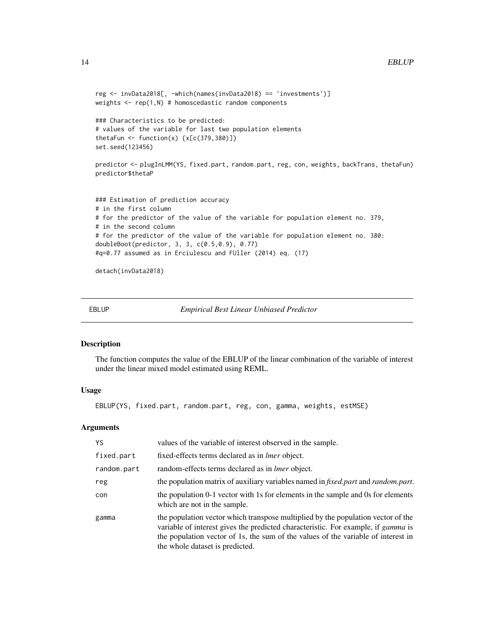```
reg <- invData2018[, -which(names(invData2018) == 'investments')]
weights \leq rep(1,N) # homoscedastic random components
### Characteristics to be predicted:
# values of the variable for last two population elements
thetaFun \le function(x) \{x[c(379, 380)]\}set.seed(123456)
predictor <- plugInLMM(YS, fixed.part, random.part, reg, con, weights, backTrans, thetaFun)
predictor$thetaP
### Estimation of prediction accuracy
# in the first column
# for the predictor of the value of the variable for population element no. 379,
# in the second column
# for the predictor of the value of the variable for population element no. 380:
doubleBoot(predictor, 3, 3, c(0.5,0.9), 0.77)
#q=0.77 assumed as in Erciulescu and FUller (2014) eq. (17)
```
detach(invData2018)

EBLUP *Empirical Best Linear Unbiased Predictor*

# Description

The function computes the value of the EBLUP of the linear combination of the variable of interest under the linear mixed model estimated using REML.

# Usage

EBLUP(YS, fixed.part, random.part, reg, con, gamma, weights, estMSE)

#### Arguments

| YS          | values of the variable of interest observed in the sample.                                                                                                                                                                                                                                           |
|-------------|------------------------------------------------------------------------------------------------------------------------------------------------------------------------------------------------------------------------------------------------------------------------------------------------------|
| fixed.part  | fixed-effects terms declared as in <i>lmer</i> object.                                                                                                                                                                                                                                               |
| random.part | random-effects terms declared as in <i>lmer</i> object.                                                                                                                                                                                                                                              |
| reg         | the population matrix of auxiliary variables named in <i>fixed.part</i> and <i>random.part.</i>                                                                                                                                                                                                      |
| con         | the population 0-1 vector with 1s for elements in the sample and 0s for elements<br>which are not in the sample.                                                                                                                                                                                     |
| gamma       | the population vector which transpose multiplied by the population vector of the<br>variable of interest gives the predicted characteristic. For example, if <i>gamma</i> is<br>the population vector of 1s, the sum of the values of the variable of interest in<br>the whole dataset is predicted. |

<span id="page-13-0"></span>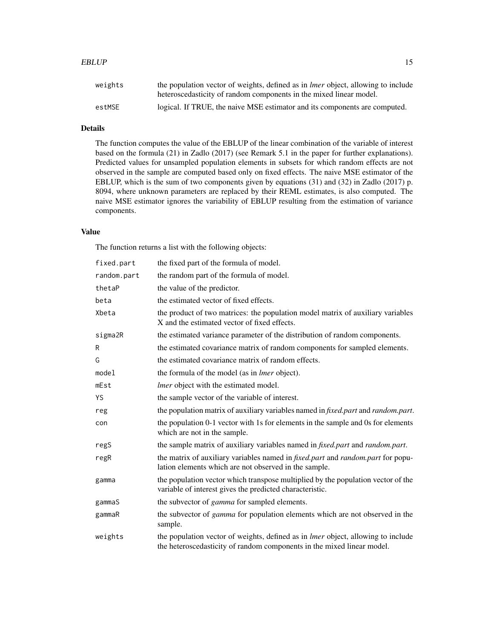#### $EBLUP$  15

# Details

The function computes the value of the EBLUP of the linear combination of the variable of interest based on the formula (21) in Zadlo (2017) (see Remark 5.1 in the paper for further explanations). Predicted values for unsampled population elements in subsets for which random effects are not observed in the sample are computed based only on fixed effects. The naive MSE estimator of the EBLUP, which is the sum of two components given by equations (31) and (32) in Zadlo (2017) p. 8094, where unknown parameters are replaced by their REML estimates, is also computed. The naive MSE estimator ignores the variability of EBLUP resulting from the estimation of variance components.

#### Value

The function returns a list with the following objects:

| fixed.part  | the fixed part of the formula of model.                                                                                                                           |
|-------------|-------------------------------------------------------------------------------------------------------------------------------------------------------------------|
| random.part | the random part of the formula of model.                                                                                                                          |
| thetaP      | the value of the predictor.                                                                                                                                       |
| beta        | the estimated vector of fixed effects.                                                                                                                            |
| Xbeta       | the product of two matrices: the population model matrix of auxiliary variables<br>X and the estimated vector of fixed effects.                                   |
| sigma2R     | the estimated variance parameter of the distribution of random components.                                                                                        |
| R           | the estimated covariance matrix of random components for sampled elements.                                                                                        |
| G           | the estimated covariance matrix of random effects.                                                                                                                |
| model       | the formula of the model (as in <i>lmer</i> object).                                                                                                              |
| mEst        | <i>lmer</i> object with the estimated model.                                                                                                                      |
| YS          | the sample vector of the variable of interest.                                                                                                                    |
| reg         | the population matrix of auxiliary variables named in fixed.part and random.part.                                                                                 |
| con         | the population 0-1 vector with 1s for elements in the sample and 0s for elements<br>which are not in the sample.                                                  |
| regS        | the sample matrix of auxiliary variables named in <i>fixed.part</i> and <i>random.part.</i>                                                                       |
| regR        | the matrix of auxiliary variables named in <i>fixed.part</i> and <i>random.part</i> for popu-<br>lation elements which are not observed in the sample.            |
| gamma       | the population vector which transpose multiplied by the population vector of the<br>variable of interest gives the predicted characteristic.                      |
| gammaS      | the subvector of <i>gamma</i> for sampled elements.                                                                                                               |
| gammaR      | the subvector of <i>gamma</i> for population elements which are not observed in the<br>sample.                                                                    |
| weights     | the population vector of weights, defined as in <i>lmer</i> object, allowing to include<br>the heteroscedasticity of random components in the mixed linear model. |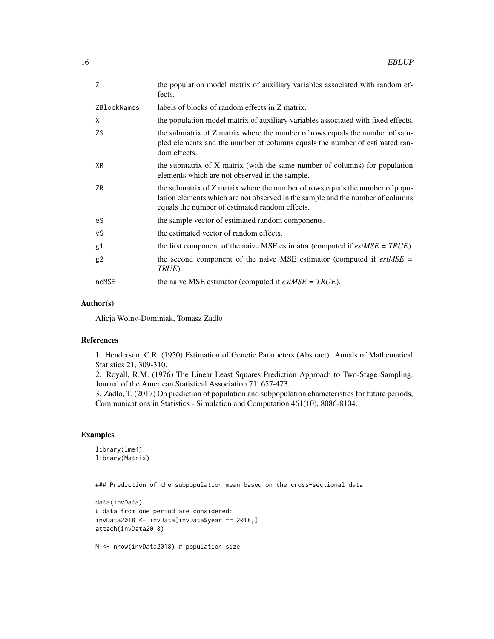| Z                  | the population model matrix of auxiliary variables associated with random ef-<br>fects.                                                                                                                           |
|--------------------|-------------------------------------------------------------------------------------------------------------------------------------------------------------------------------------------------------------------|
| <b>ZBlockNames</b> | labels of blocks of random effects in Z matrix.                                                                                                                                                                   |
| X                  | the population model matrix of auxiliary variables associated with fixed effects.                                                                                                                                 |
| <b>ZS</b>          | the submatrix of Z matrix where the number of rows equals the number of sam-<br>pled elements and the number of columns equals the number of estimated ran-<br>dom effects.                                       |
| XR.                | the submatrix of X matrix (with the same number of columns) for population<br>elements which are not observed in the sample.                                                                                      |
| ZR                 | the submatrix of Z matrix where the number of rows equals the number of popu-<br>lation elements which are not observed in the sample and the number of columns<br>equals the number of estimated random effects. |
| eS                 | the sample vector of estimated random components.                                                                                                                                                                 |
| vS                 | the estimated vector of random effects.                                                                                                                                                                           |
| g1                 | the first component of the naive MSE estimator (computed if $estMSE = TRUE$ ).                                                                                                                                    |
| g2                 | the second component of the naive MSE estimator (computed if $estMSE =$<br>TRUE).                                                                                                                                 |
| neMSE              | the naive MSE estimator (computed if $estMSE = TRUE$ ).                                                                                                                                                           |

# Author(s)

Alicja Wolny-Dominiak, Tomasz Zadlo

# References

1. Henderson, C.R. (1950) Estimation of Genetic Parameters (Abstract). Annals of Mathematical Statistics 21, 309-310.

2. Royall, R.M. (1976) The Linear Least Squares Prediction Approach to Two-Stage Sampling. Journal of the American Statistical Association 71, 657-473.

3. Zadlo, T. (2017) On prediction of population and subpopulation characteristics for future periods, Communications in Statistics - Simulation and Computation 461(10), 8086-8104.

# Examples

```
library(lme4)
library(Matrix)
```
### Prediction of the subpopulation mean based on the cross-sectional data

```
data(invData)
# data from one period are considered:
invData2018 <- invData[invData$year == 2018,]
attach(invData2018)
```
N <- nrow(invData2018) # population size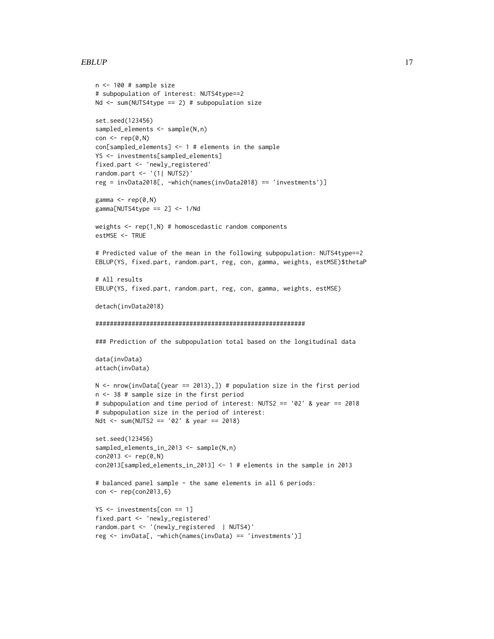#### EBLUP 17

```
n <- 100 # sample size
# subpopulation of interest: NUTS4type==2
Nd \le sum(NUTS4type == 2) # subpopulation size
set.seed(123456)
sampled_elements <- sample(N,n)
con \leq rep(0,N)
con[sampled_elements] <- 1 # elements in the sample
YS <- investments[sampled_elements]
fixed.part <- 'newly_registered'
random.part <- '(1| NUTS2)'
reg = invData2018[, -which(names(invData2018) == 'investments')]
gamma \leq rep(0,N)
gamma[NUTS4type == 2] < -1/Ndweights \leq rep(1,N) # homoscedastic random components
estMSE <- TRUE
# Predicted value of the mean in the following subpopulation: NUTS4type==2
EBLUP(YS, fixed.part, random.part, reg, con, gamma, weights, estMSE)$thetaP
# All results
EBLUP(YS, fixed.part, random.part, reg, con, gamma, weights, estMSE)
detach(invData2018)
##########################################################
### Prediction of the subpopulation total based on the longitudinal data
data(invData)
attach(invData)
N \le nrow(invData[(year == 2013),]) # population size in the first period
n <- 38 # sample size in the first period
# subpopulation and time period of interest: NUTS2 == '02' & year == 2018
# subpopulation size in the period of interest:
Ndt <- sum(NUTS2 == '02' & year == 2018)
set.seed(123456)
sampled_elements_in_2013 <- sample(N,n)
con2013 < - rep(0, N)con2013[sampled_elements_in_2013] <- 1 # elements in the sample in 2013
# balanced panel sample - the same elements in all 6 periods:
con <- rep(con2013,6)
YS <- investments[con == 1]
fixed.part <- 'newly_registered'
random.part <- '(newly_registered | NUTS4)'
reg <- invData[, -which(names(invData) == 'investments')]
```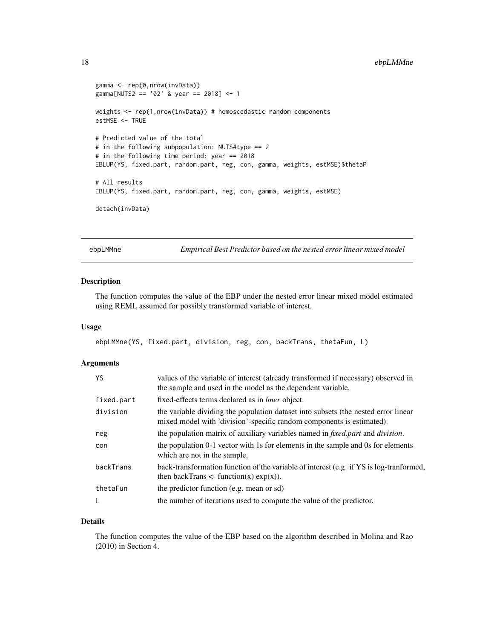```
gamma <- rep(0,nrow(invData))
gamma[NUTS2 == '02' & year == 2018] <- 1
weights <- rep(1,nrow(invData)) # homoscedastic random components
estMSE <- TRUE
# Predicted value of the total
# in the following subpopulation: NUTS4type == 2
# in the following time period: year == 2018
EBLUP(YS, fixed.part, random.part, reg, con, gamma, weights, estMSE)$thetaP
# All results
EBLUP(YS, fixed.part, random.part, reg, con, gamma, weights, estMSE)
detach(invData)
```
ebpLMMne *Empirical Best Predictor based on the nested error linear mixed model*

# Description

The function computes the value of the EBP under the nested error linear mixed model estimated using REML assumed for possibly transformed variable of interest.

# Usage

```
ebpLMMne(YS, fixed.part, division, reg, con, backTrans, thetaFun, L)
```
## Arguments

| YS         | values of the variable of interest (already transformed if necessary) observed in<br>the sample and used in the model as the dependent variable.            |  |
|------------|-------------------------------------------------------------------------------------------------------------------------------------------------------------|--|
| fixed.part | fixed-effects terms declared as in <i>lmer</i> object.                                                                                                      |  |
| division   | the variable dividing the population dataset into subsets (the nested error linear<br>mixed model with 'division'-specific random components is estimated). |  |
| reg        | the population matrix of auxiliary variables named in <i>fixed.part</i> and <i>division</i> .                                                               |  |
| con        | the population 0-1 vector with 1s for elements in the sample and 0s for elements<br>which are not in the sample.                                            |  |
| backTrans  | back-transformation function of the variable of interest (e.g. if YS is log-tranformed,<br>then backTrans $\leq$ - function(x) $\exp(x)$ ).                 |  |
| thetaFun   | the predictor function (e.g. mean or sd)                                                                                                                    |  |
| L          | the number of iterations used to compute the value of the predictor.                                                                                        |  |

#### Details

The function computes the value of the EBP based on the algorithm described in Molina and Rao (2010) in Section 4.

<span id="page-17-0"></span>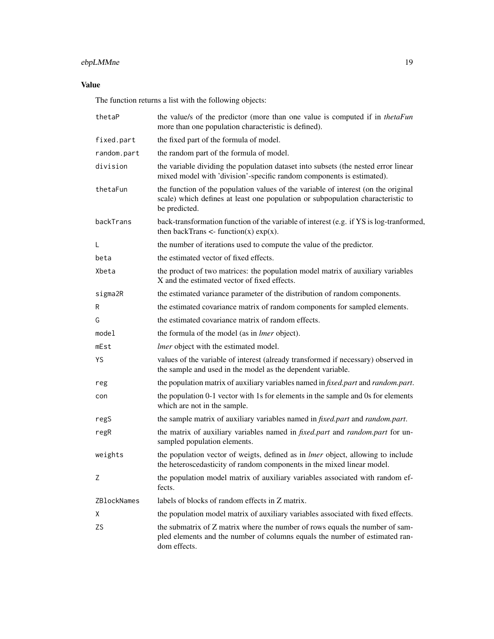# ebpLMMne 19

# Value

The function returns a list with the following objects:

| thetaP      | the value/s of the predictor (more than one value is computed if in thetaFun<br>more than one population characteristic is defined).                                                   |  |
|-------------|----------------------------------------------------------------------------------------------------------------------------------------------------------------------------------------|--|
| fixed.part  | the fixed part of the formula of model.                                                                                                                                                |  |
| random.part | the random part of the formula of model.                                                                                                                                               |  |
| division    | the variable dividing the population dataset into subsets (the nested error linear<br>mixed model with 'division'-specific random components is estimated).                            |  |
| thetaFun    | the function of the population values of the variable of interest (on the original<br>scale) which defines at least one population or subpopulation characteristic to<br>be predicted. |  |
| backTrans   | back-transformation function of the variable of interest (e.g. if YS is log-tranformed,<br>then backTrans $\lt$ - function(x) $\exp(x)$ .                                              |  |
| L           | the number of iterations used to compute the value of the predictor.                                                                                                                   |  |
| beta        | the estimated vector of fixed effects.                                                                                                                                                 |  |
| Xbeta       | the product of two matrices: the population model matrix of auxiliary variables<br>X and the estimated vector of fixed effects.                                                        |  |
| sigma2R     | the estimated variance parameter of the distribution of random components.                                                                                                             |  |
| R           | the estimated covariance matrix of random components for sampled elements.                                                                                                             |  |
| G           | the estimated covariance matrix of random effects.                                                                                                                                     |  |
| model       | the formula of the model (as in <i>lmer</i> object).                                                                                                                                   |  |
| mEst        | <i>lmer</i> object with the estimated model.                                                                                                                                           |  |
| YS          | values of the variable of interest (already transformed if necessary) observed in<br>the sample and used in the model as the dependent variable.                                       |  |
| reg         | the population matrix of auxiliary variables named in fixed.part and random.part.                                                                                                      |  |
| con         | the population 0-1 vector with 1s for elements in the sample and 0s for elements<br>which are not in the sample.                                                                       |  |
| regS        | the sample matrix of auxiliary variables named in <i>fixed.part</i> and <i>random.part.</i>                                                                                            |  |
| regR        | the matrix of auxiliary variables named in <i>fixed.part</i> and <i>random.part</i> for un-<br>sampled population elements.                                                            |  |
| weights     | the population vector of weigts, defined as in <i>lmer</i> object, allowing to include<br>the heteroscedasticity of random components in the mixed linear model.                       |  |
| Ζ           | the population model matrix of auxiliary variables associated with random ef-<br>fects.                                                                                                |  |
| ZBlockNames | labels of blocks of random effects in Z matrix.                                                                                                                                        |  |
| Χ           | the population model matrix of auxiliary variables associated with fixed effects.                                                                                                      |  |
| ZS          | the submatrix of Z matrix where the number of rows equals the number of sam-<br>pled elements and the number of columns equals the number of estimated ran-<br>dom effects.            |  |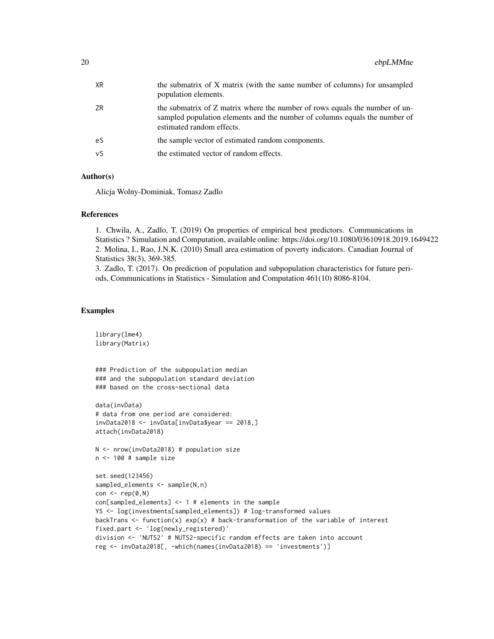| XR  | the submatrix of X matrix (with the same number of columns) for unsampled<br>population elements.                                                                                      |
|-----|----------------------------------------------------------------------------------------------------------------------------------------------------------------------------------------|
| ZR  | the submatrix of Z matrix where the number of rows equals the number of un-<br>sampled population elements and the number of columns equals the number of<br>estimated random effects. |
| eS. | the sample vector of estimated random components.                                                                                                                                      |
| νS  | the estimated vector of random effects.                                                                                                                                                |

# Author(s)

Alicja Wolny-Dominiak, Tomasz Zadlo

#### References

1. Chwila, A., Zadlo, T. (2019) On properties of empirical best predictors. Communications in Statistics ? Simulation and Computation, available online: https://doi.org/10.1080/03610918.2019.1649422 2. Molina, I., Rao, J.N.K. (2010) Small area estimation of poverty indicators. Canadian Journal of Statistics 38(3), 369-385.

3. Zadlo, T. (2017). On prediction of population and subpopulation characteristics for future periods, Communications in Statistics - Simulation and Computation 461(10) 8086-8104.

```
library(lme4)
library(Matrix)
### Prediction of the subpopulation median
### and the subpopulation standard deviation
### based on the cross-sectional data
data(invData)
# data from one period are considered:
invData2018 <- invData[invData$year == 2018,]
attach(invData2018)
N <- nrow(invData2018) # population size
n <- 100 # sample size
set.seed(123456)
sampled_elements <- sample(N,n)
con < rep(0,N)con[sampled_elements] <- 1 # elements in the sample
YS <- log(investments[sampled_elements]) # log-transformed values
backTrans \leq function(x) exp(x) # back-transformation of the variable of interest
fixed.part <- 'log(newly_registered)'
division <- 'NUTS2' # NUTS2-specific random effects are taken into account
reg <- invData2018[, -which(names(invData2018) == 'investments')]
```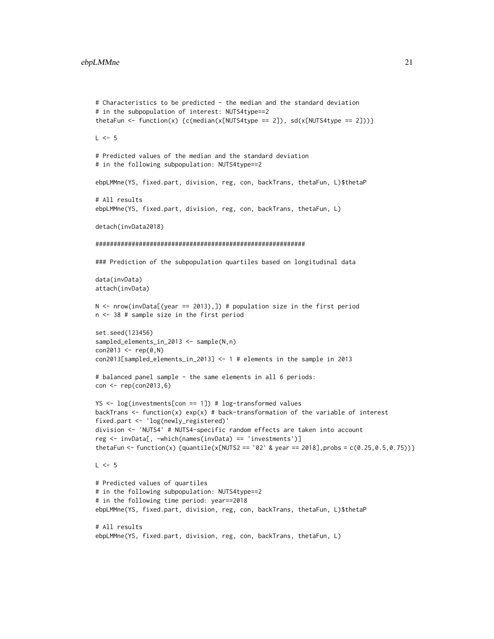```
# Characteristics to be predicted - the median and the standard deviation
# in the subpopulation of interest: NUTS4type==2
thetaFun <- function(x) {c(median(x[NUTS4type == 2]), sd(x[NUTS4type == 2]))}
L \le -5# Predicted values of the median and the standard deviation
# in the following subpopulation: NUTS4type==2
ebpLMMne(YS, fixed.part, division, reg, con, backTrans, thetaFun, L)$thetaP
# All results
ebpLMMne(YS, fixed.part, division, reg, con, backTrans, thetaFun, L)
detach(invData2018)
##########################################################
### Prediction of the subpopulation quartiles based on longitudinal data
data(invData)
attach(invData)
N <- nrow(invData[(year == 2013),]) # population size in the first period
n <- 38 # sample size in the first period
set.seed(123456)
sampled_elements_in_2013 <- sample(N,n)
con2013 < - rep(0, N)con2013[sampled_elements_in_2013] <- 1 # elements in the sample in 2013
# balanced panel sample - the same elements in all 6 periods:
con <- rep(con2013,6)
YS <- log(investments[con == 1]) # log-transformed values
backTrans \le function(x) exp(x) # back-transformation of the variable of interest
fixed.part <- 'log(newly_registered)'
division <- 'NUTS4' # NUTS4-specific random effects are taken into account
reg <- invData[, -which(names(invData) == 'investments')]
thetaFun <- function(x) {quantile(x[NUTS2 == '02' & year == 2018], probs = c(0.25, 0.5, 0.75))}
L < -5# Predicted values of quartiles
# in the following subpopulation: NUTS4type==2
# in the following time period: year==2018
ebpLMMne(YS, fixed.part, division, reg, con, backTrans, thetaFun, L)$thetaP
# All results
ebpLMMne(YS, fixed.part, division, reg, con, backTrans, thetaFun, L)
```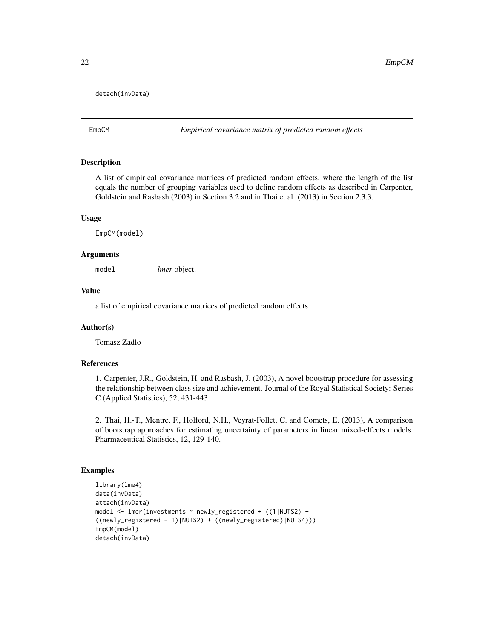# <span id="page-21-0"></span>detach(invData)

EmpCM *Empirical covariance matrix of predicted random effects*

# Description

A list of empirical covariance matrices of predicted random effects, where the length of the list equals the number of grouping variables used to define random effects as described in Carpenter, Goldstein and Rasbash (2003) in Section 3.2 and in Thai et al. (2013) in Section 2.3.3.

#### Usage

EmpCM(model)

#### Arguments

model *lmer* object.

# Value

a list of empirical covariance matrices of predicted random effects.

#### Author(s)

Tomasz Zadlo

# References

1. Carpenter, J.R., Goldstein, H. and Rasbash, J. (2003), A novel bootstrap procedure for assessing the relationship between class size and achievement. Journal of the Royal Statistical Society: Series C (Applied Statistics), 52, 431-443.

2. Thai, H.-T., Mentre, F., Holford, N.H., Veyrat-Follet, C. and Comets, E. (2013), A comparison of bootstrap approaches for estimating uncertainty of parameters in linear mixed-effects models. Pharmaceutical Statistics, 12, 129-140.

```
library(lme4)
data(invData)
attach(invData)
model <- lmer(investments ~ newly_registered + ((1|NUTS2) +
((newly_registered - 1)|NUTS2) + ((newly_registered)|NUTS4)))
EmpCM(model)
detach(invData)
```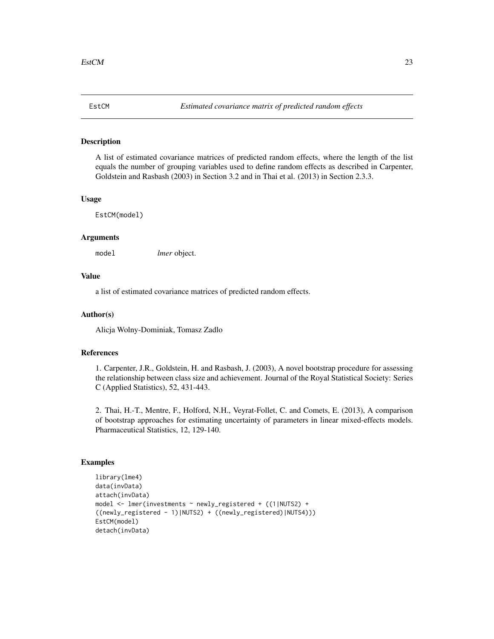<span id="page-22-0"></span>

# Description

A list of estimated covariance matrices of predicted random effects, where the length of the list equals the number of grouping variables used to define random effects as described in Carpenter, Goldstein and Rasbash (2003) in Section 3.2 and in Thai et al. (2013) in Section 2.3.3.

#### Usage

EstCM(model)

#### Arguments

model *lmer* object.

# Value

a list of estimated covariance matrices of predicted random effects.

#### Author(s)

Alicja Wolny-Dominiak, Tomasz Zadlo

#### References

1. Carpenter, J.R., Goldstein, H. and Rasbash, J. (2003), A novel bootstrap procedure for assessing the relationship between class size and achievement. Journal of the Royal Statistical Society: Series C (Applied Statistics), 52, 431-443.

2. Thai, H.-T., Mentre, F., Holford, N.H., Veyrat-Follet, C. and Comets, E. (2013), A comparison of bootstrap approaches for estimating uncertainty of parameters in linear mixed-effects models. Pharmaceutical Statistics, 12, 129-140.

```
library(lme4)
data(invData)
attach(invData)
model <- lmer(investments ~ newly_registered + ((1|NUTS2) +
((newly_registered - 1)|NUTS2) + ((newly_registered)|NUTS4)))
EstCM(model)
detach(invData)
```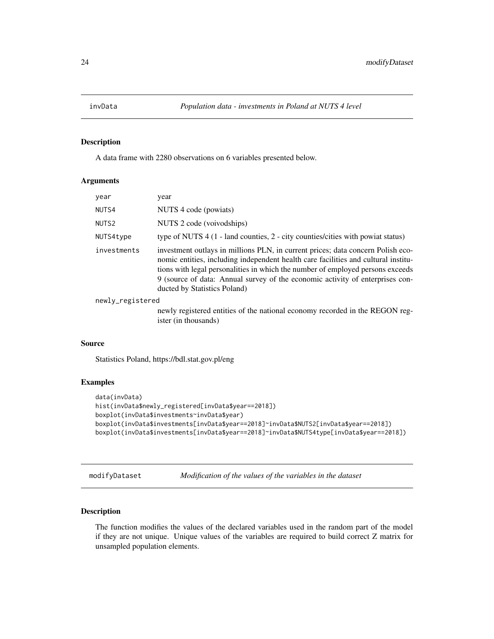<span id="page-23-0"></span>

# Description

A data frame with 2280 observations on 6 variables presented below.

#### Arguments

| year                                                                                                                                                                                                                                  | year                                                                                                                                                                                                                                                                                                                                                                     |  |
|---------------------------------------------------------------------------------------------------------------------------------------------------------------------------------------------------------------------------------------|--------------------------------------------------------------------------------------------------------------------------------------------------------------------------------------------------------------------------------------------------------------------------------------------------------------------------------------------------------------------------|--|
| NUTS4                                                                                                                                                                                                                                 | NUTS 4 code (powiats)                                                                                                                                                                                                                                                                                                                                                    |  |
| NUTS <sub>2</sub>                                                                                                                                                                                                                     | NUTS 2 code (voivodships)                                                                                                                                                                                                                                                                                                                                                |  |
| NUTS4type                                                                                                                                                                                                                             | type of NUTS $4(1 - 1)$ and counties, $2 - 1$ city counties/cities with powiat status)                                                                                                                                                                                                                                                                                   |  |
| investments                                                                                                                                                                                                                           | investment outlays in millions PLN, in current prices; data concern Polish eco-<br>nomic entities, including independent health care facilities and cultural institu-<br>tions with legal personalities in which the number of employed persons exceeds<br>9 (source of data: Annual survey of the economic activity of enterprises con-<br>ducted by Statistics Poland) |  |
| $\blacksquare$ , and the set of the set of the set of the set of the set of the set of the set of the set of the set of the set of the set of the set of the set of the set of the set of the set of the set of the set of the set of |                                                                                                                                                                                                                                                                                                                                                                          |  |

newly\_registered

newly registered entities of the national economy recorded in the REGON register (in thousands)

# Source

Statistics Poland, https://bdl.stat.gov.pl/eng

# Examples

```
data(invData)
hist(invData$newly_registered[invData$year==2018])
boxplot(invData$investments~invData$year)
boxplot(invData$investments[invData$year==2018]~invData$NUTS2[invData$year==2018])
boxplot(invData$investments[invData$year==2018]~invData$NUTS4type[invData$year==2018])
```
modifyDataset *Modification of the values of the variables in the dataset*

# Description

The function modifies the values of the declared variables used in the random part of the model if they are not unique. Unique values of the variables are required to build correct Z matrix for unsampled population elements.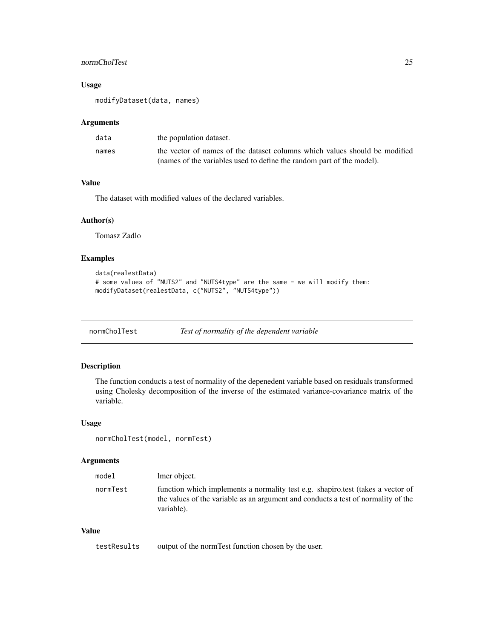# <span id="page-24-0"></span>normCholTest 25

# Usage

modifyDataset(data, names)

#### Arguments

| data  | the population dataset.                                                    |
|-------|----------------------------------------------------------------------------|
| names | the vector of names of the dataset columns which values should be modified |
|       | (names of the variables used to define the random part of the model).      |

# Value

The dataset with modified values of the declared variables.

#### Author(s)

Tomasz Zadlo

# Examples

```
data(realestData)
# some values of "NUTS2" and "NUTS4type" are the same - we will modify them:
modifyDataset(realestData, c("NUTS2", "NUTS4type"))
```
normCholTest *Test of normality of the dependent variable*

# Description

The function conducts a test of normality of the depenedent variable based on residuals transformed using Cholesky decomposition of the inverse of the estimated variance-covariance matrix of the variable.

#### Usage

```
normCholTest(model, normTest)
```
# Arguments

| model    | lmer object.                                                                                                                                                                       |
|----------|------------------------------------------------------------------------------------------------------------------------------------------------------------------------------------|
| normTest | function which implements a normality test e.g. shapiro.test (takes a vector of<br>the values of the variable as an argument and conducts a test of normality of the<br>variable). |

# Value

testResults output of the normTest function chosen by the user.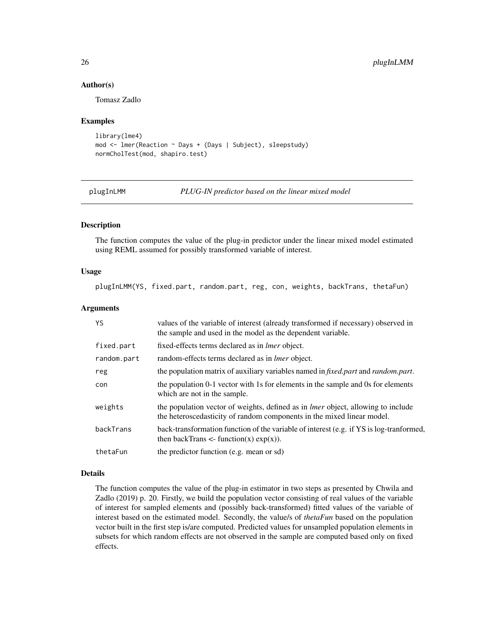# Author(s)

Tomasz Zadlo

# Examples

```
library(lme4)
mod <- lmer(Reaction ~ Days + (Days | Subject), sleepstudy)
normCholTest(mod, shapiro.test)
```
plugInLMM *PLUG-IN predictor based on the linear mixed model*

# Description

The function computes the value of the plug-in predictor under the linear mixed model estimated using REML assumed for possibly transformed variable of interest.

# Usage

plugInLMM(YS, fixed.part, random.part, reg, con, weights, backTrans, thetaFun)

## Arguments

| YS.         | values of the variable of interest (already transformed if necessary) observed in<br>the sample and used in the model as the dependent variable.                  |  |
|-------------|-------------------------------------------------------------------------------------------------------------------------------------------------------------------|--|
| fixed.part  | fixed-effects terms declared as in <i>lmer</i> object.                                                                                                            |  |
| random.part | random-effects terms declared as in <i>lmer</i> object.                                                                                                           |  |
| reg         | the population matrix of auxiliary variables named in <i>fixed.part</i> and <i>random.part.</i>                                                                   |  |
| con         | the population 0-1 vector with 1s for elements in the sample and 0s for elements<br>which are not in the sample.                                                  |  |
| weights     | the population vector of weights, defined as in <i>lmer</i> object, allowing to include<br>the heteroscedasticity of random components in the mixed linear model. |  |
| backTrans   | back-transformation function of the variable of interest (e.g. if YS is log-tranformed,<br>then backTrans $\leq$ - function(x) $\exp(x)$ ).                       |  |
| thetaFun    | the predictor function (e.g. mean or sd)                                                                                                                          |  |

#### Details

The function computes the value of the plug-in estimator in two steps as presented by Chwila and Zadlo (2019) p. 20. Firstly, we build the population vector consisting of real values of the variable of interest for sampled elements and (possibly back-transformed) fitted values of the variable of interest based on the estimated model. Secondly, the value/s of *thetaFun* based on the population vector built in the first step is/are computed. Predicted values for unsampled population elements in subsets for which random effects are not observed in the sample are computed based only on fixed effects.

<span id="page-25-0"></span>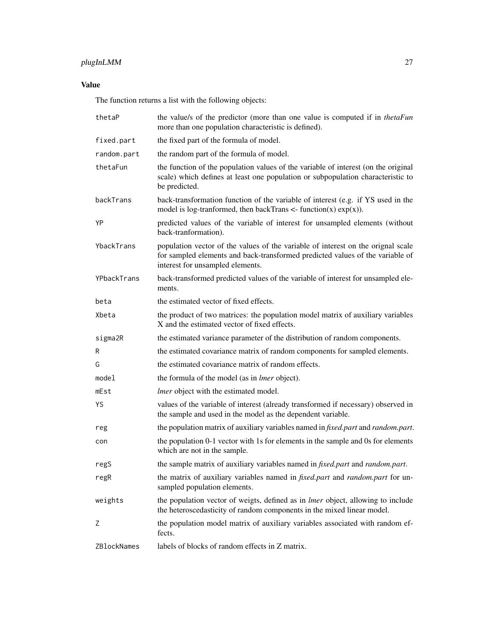# plugInLMM 27

# Value

The function returns a list with the following objects:

| thetaP      | the value/s of the predictor (more than one value is computed if in thetaFun<br>more than one population characteristic is defined).                                                                  |  |
|-------------|-------------------------------------------------------------------------------------------------------------------------------------------------------------------------------------------------------|--|
| fixed.part  | the fixed part of the formula of model.                                                                                                                                                               |  |
| random.part | the random part of the formula of model.                                                                                                                                                              |  |
| thetaFun    | the function of the population values of the variable of interest (on the original<br>scale) which defines at least one population or subpopulation characteristic to<br>be predicted.                |  |
| backTrans   | back-transformation function of the variable of interest (e.g. if YS used in the<br>model is log-tranformed, then backTrans $\lt$ - function(x) $\exp(x)$ ).                                          |  |
| YP          | predicted values of the variable of interest for unsampled elements (without<br>back-tranformation).                                                                                                  |  |
| YbackTrans  | population vector of the values of the variable of interest on the orignal scale<br>for sampled elements and back-transformed predicted values of the variable of<br>interest for unsampled elements. |  |
| YPbackTrans | back-transformed predicted values of the variable of interest for unsampled ele-<br>ments.                                                                                                            |  |
| beta        | the estimated vector of fixed effects.                                                                                                                                                                |  |
| Xbeta       | the product of two matrices: the population model matrix of auxiliary variables<br>X and the estimated vector of fixed effects.                                                                       |  |
| sigma2R     | the estimated variance parameter of the distribution of random components.                                                                                                                            |  |
| R           | the estimated covariance matrix of random components for sampled elements.                                                                                                                            |  |
| G           | the estimated covariance matrix of random effects.                                                                                                                                                    |  |
| model       | the formula of the model (as in <i>lmer</i> object).                                                                                                                                                  |  |
| mEst        | <i>lmer</i> object with the estimated model.                                                                                                                                                          |  |
| YS          | values of the variable of interest (already transformed if necessary) observed in<br>the sample and used in the model as the dependent variable.                                                      |  |
| reg         | the population matrix of auxiliary variables named in fixed.part and random.part.                                                                                                                     |  |
| con         | the population 0-1 vector with 1s for elements in the sample and 0s for elements<br>which are not in the sample.                                                                                      |  |
| regS        | the sample matrix of auxiliary variables named in <i>fixed.part</i> and <i>random.part.</i>                                                                                                           |  |
| regR        | the matrix of auxiliary variables named in <i>fixed.part</i> and <i>random.part</i> for un-<br>sampled population elements.                                                                           |  |
| weights     | the population vector of weigts, defined as in <i>lmer</i> object, allowing to include<br>the heteroscedasticity of random components in the mixed linear model.                                      |  |
| Ζ           | the population model matrix of auxiliary variables associated with random ef-<br>fects.                                                                                                               |  |
| ZBlockNames | labels of blocks of random effects in Z matrix.                                                                                                                                                       |  |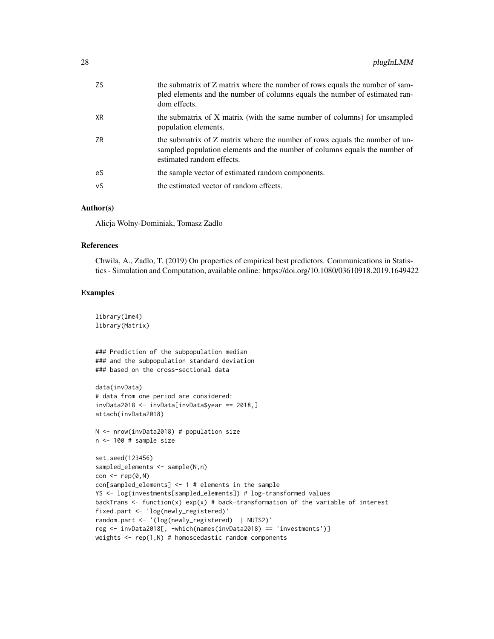| ZS. | the submatrix of Z matrix where the number of rows equals the number of sam-<br>pled elements and the number of columns equals the number of estimated ran-<br>dom effects.            |
|-----|----------------------------------------------------------------------------------------------------------------------------------------------------------------------------------------|
| XR  | the submatrix of X matrix (with the same number of columns) for unsampled<br>population elements.                                                                                      |
| ZR  | the submatrix of Z matrix where the number of rows equals the number of un-<br>sampled population elements and the number of columns equals the number of<br>estimated random effects. |
| eS  | the sample vector of estimated random components.                                                                                                                                      |
| νS  | the estimated vector of random effects.                                                                                                                                                |

# Author(s)

Alicja Wolny-Dominiak, Tomasz Zadlo

# References

Chwila, A., Zadlo, T. (2019) On properties of empirical best predictors. Communications in Statistics - Simulation and Computation, available online: https://doi.org/10.1080/03610918.2019.1649422

# Examples

library(lme4) library(Matrix)

### Prediction of the subpopulation median ### and the subpopulation standard deviation ### based on the cross-sectional data

```
data(invData)
# data from one period are considered:
invData2018 <- invData[invData$year == 2018,]
attach(invData2018)
```

```
N <- nrow(invData2018) # population size
n <- 100 # sample size
```

```
set.seed(123456)
sampled_elements <- sample(N,n)
con \leq rep(0,N)
con[sampled_elements] <- 1 # elements in the sample
YS <- log(investments[sampled_elements]) # log-transformed values
backTrans \le function(x) exp(x) # back-transformation of the variable of interest
fixed.part <- 'log(newly_registered)'
random.part <- '(log(newly_registered) | NUTS2)'
reg <- invData2018[, -which(names(invData2018) == 'investments')]
weights \leq rep(1,N) # homoscedastic random components
```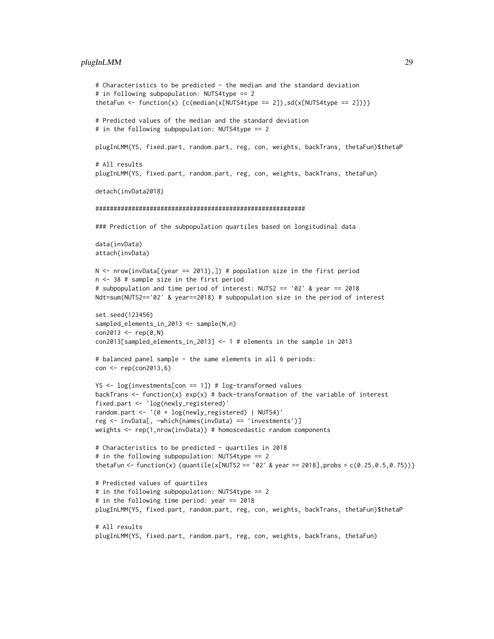# plugInLMM 29

```
# Characteristics to be predicted - the median and the standard deviation
# in following subpopulation: NUTS4type == 2
thetaFun <- function(x) {c(median(x[NUTS4type == 2]), sd(x[NUTS4type == 2]))}
# Predicted values of the median and the standard deviation
# in the following subpopulation: NUTS4type == 2
plugInLMM(YS, fixed.part, random.part, reg, con, weights, backTrans, thetaFun)$thetaP
# All results
plugInLMM(YS, fixed.part, random.part, reg, con, weights, backTrans, thetaFun)
detach(invData2018)
##########################################################
### Prediction of the subpopulation quartiles based on longitudinal data
data(invData)
attach(invData)
N \le - nrow(invData[(year == 2013),]) # population size in the first period
n <- 38 # sample size in the first period
# subpopulation and time period of interest: NUTS2 == '02' & year == 2018
Ndt=sum(NUTS2=='02' & year==2018) # subpopulation size in the period of interest
set.seed(123456)
sampled_elements_in_2013 <- sample(N,n)
con2013 <- rep(0, N)con2013[sampled_elements_in_2013] <- 1 # elements in the sample in 2013
# balanced panel sample - the same elements in all 6 periods:
con <- rep(con2013,6)
YS <- log(investments[con == 1]) # log-transformed values
backTrans \leq function(x) exp(x) # back-transformation of the variable of interest
fixed.part <- 'log(newly_registered)'
random.part <- '(0 + log(newly_registered) | NUTS4)'
reg <- invData[, -which(names(invData) == 'investments')]
weights <- rep(1,nrow(invData)) # homoscedastic random components
# Characteristics to be predicted - quartiles in 2018
# in the following subpopulation: NUTS4type == 2
thetaFun <- function(x) {quantile(x[NUTS2 == '02' & year == 2018], probs = c(0.25, 0.5, 0.75)}
# Predicted values of quartiles
# in the following subpopulation: NUTS4type == 2
# in the following time period: year == 2018
plugInLMM(YS, fixed.part, random.part, reg, con, weights, backTrans, thetaFun)$thetaP
# All results
plugInLMM(YS, fixed.part, random.part, reg, con, weights, backTrans, thetaFun)
```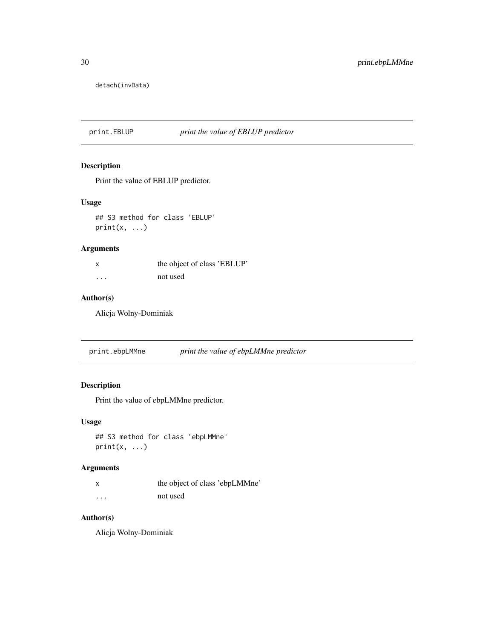<span id="page-29-0"></span>detach(invData)

print.EBLUP *print the value of EBLUP predictor*

# Description

Print the value of EBLUP predictor.

# Usage

## S3 method for class 'EBLUP'  $print(x, \ldots)$ 

# Arguments

|   | the object of class 'EBLUP' |
|---|-----------------------------|
| . | not used                    |

# Author(s)

Alicja Wolny-Dominiak

print.ebpLMMne *print the value of ebpLMMne predictor*

# Description

Print the value of ebpLMMne predictor.

# Usage

## S3 method for class 'ebpLMMne'  $print(x, \ldots)$ 

# Arguments

|          | the object of class 'ebpLMMne' |
|----------|--------------------------------|
| $\cdots$ | not used                       |

# Author(s)

Alicja Wolny-Dominiak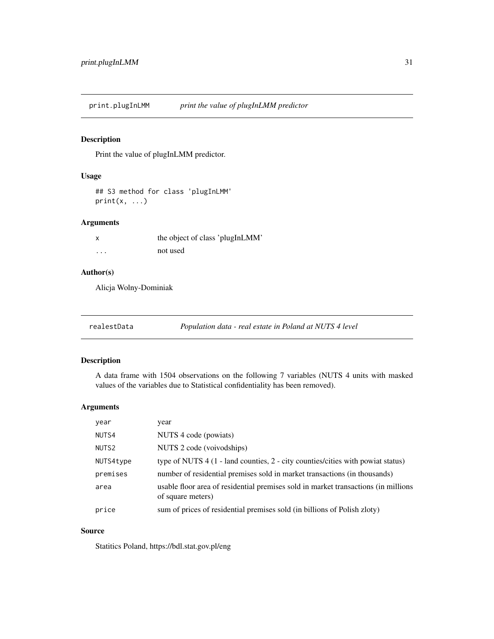<span id="page-30-0"></span>print.plugInLMM *print the value of plugInLMM predictor*

# Description

Print the value of plugInLMM predictor.

# Usage

```
## S3 method for class 'plugInLMM'
print(x, \ldots)
```
# Arguments

| X        | the object of class 'plugInLMM' |  |
|----------|---------------------------------|--|
| $\cdots$ | not used                        |  |

# Author(s)

Alicja Wolny-Dominiak

| realestData | Population data - real estate in Poland at NUTS 4 level |
|-------------|---------------------------------------------------------|
|-------------|---------------------------------------------------------|

# Description

A data frame with 1504 observations on the following 7 variables (NUTS 4 units with masked values of the variables due to Statistical confidentiality has been removed).

# Arguments

| year              | year                                                                                                    |
|-------------------|---------------------------------------------------------------------------------------------------------|
| NUTS4             | NUTS 4 code (powiats)                                                                                   |
| NUTS <sub>2</sub> | NUTS 2 code (voivodships)                                                                               |
| NUTS4type         | type of NUTS $4(1 - \text{land countries}, 2 - \text{city countries/cities with powiat status})$        |
| premises          | number of residential premises sold in market transactions (in thousands)                               |
| area              | usable floor area of residential premises sold in market transactions (in millions<br>of square meters) |
| price             | sum of prices of residential premises sold (in billions of Polish zloty)                                |

# Source

Statitics Poland, https://bdl.stat.gov.pl/eng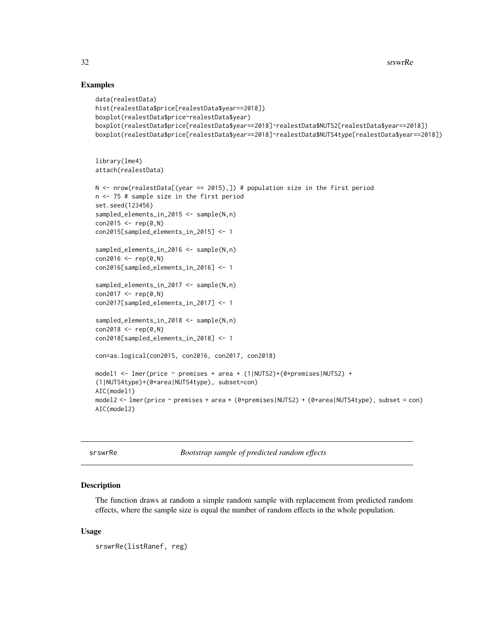# Examples

```
data(realestData)
hist(realestData$price[realestData$year==2018])
boxplot(realestData$price~realestData$year)
boxplot(realestData$price[realestData$year==2018]~realestData$NUTS2[realestData$year==2018])
boxplot(realestData$price[realestData$year==2018]~realestData$NUTS4type[realestData$year==2018])
library(lme4)
attach(realestData)
N \le - nrow(realestData[(year == 2015),]) # population size in the first period
n <- 75 # sample size in the first period
set.seed(123456)
sampled_elements_in_2015 <- sample(N,n)
con2015 < - rep(0, N)con2015[sampled_elements_in_2015] <- 1
sampled_elements_in_2016 <- sample(N,n)
con2016 < - rep(0,N)
con2016[sampled_elements_in_2016] <- 1
sampled_elements_in_2017 <- sample(N,n)
con2017 < - rep(0, N)con2017[sampled_elements_in_2017] <- 1
sampled_elements_in_2018 <- sample(N,n)
con2018 < - rep(0, N)con2018[sampled_elements_in_2018] <- 1
con=as.logical(con2015, con2016, con2017, con2018)
model1 <- lmer(price ~ premises + area + (1|NUTS2)+(0+premises|NUTS2) +
(1|NUTS4type)+(0+area|NUTS4type), subset=con)
AIC(model1)
model2 <- lmer(price ~ premises + area + (0+premises|NUTS2) + (0+area|NUTS4type), subset = con)
AIC(model2)
```
Bootstrap sample of predicted random effects

#### **Description**

The function draws at random a simple random sample with replacement from predicted random effects, where the sample size is equal the number of random effects in the whole population.

#### Usage

```
srswrRe(listRanef, reg)
```
<span id="page-31-0"></span>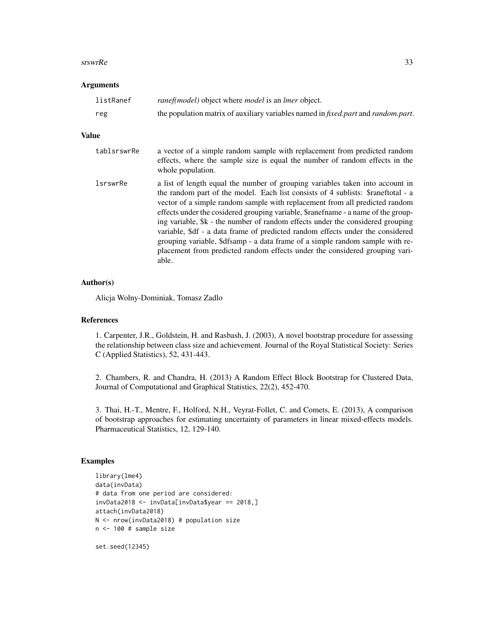#### $s$ rswrRe  $33$

#### Arguments

| listRanef | <i>ranef(model)</i> object where <i>model</i> is an <i>lmer</i> object.           |
|-----------|-----------------------------------------------------------------------------------|
| reg       | the population matrix of auxiliary variables named in fixed.part and random.part. |

#### Value

| tablsrswrRe     | a vector of a simple random sample with replacement from predicted random<br>effects, where the sample size is equal the number of random effects in the<br>whole population.                                                                                                                                                                                                                                                                                                                                                                                                                                                                                                       |
|-----------------|-------------------------------------------------------------------------------------------------------------------------------------------------------------------------------------------------------------------------------------------------------------------------------------------------------------------------------------------------------------------------------------------------------------------------------------------------------------------------------------------------------------------------------------------------------------------------------------------------------------------------------------------------------------------------------------|
| <i>lsrswrRe</i> | a list of length equal the number of grouping variables taken into account in<br>the random part of the model. Each list consists of 4 sublists: \$raneftotal - a<br>vector of a simple random sample with replacement from all predicted random<br>effects under the cosidered grouping variable, \$ranefiname - a name of the group-<br>ing variable, \$k - the number of random effects under the considered grouping<br>variable, \$df - a data frame of predicted random effects under the considered<br>grouping variable, \$dfsamp - a data frame of a simple random sample with re-<br>placement from predicted random effects under the considered grouping vari-<br>able. |

### Author(s)

Alicja Wolny-Dominiak, Tomasz Zadlo

# References

1. Carpenter, J.R., Goldstein, H. and Rasbash, J. (2003), A novel bootstrap procedure for assessing the relationship between class size and achievement. Journal of the Royal Statistical Society: Series C (Applied Statistics), 52, 431-443.

2. Chambers, R. and Chandra, H. (2013) A Random Effect Block Bootstrap for Clustered Data, Journal of Computational and Graphical Statistics, 22(2), 452-470.

3. Thai, H.-T., Mentre, F., Holford, N.H., Veyrat-Follet, C. and Comets, E. (2013), A comparison of bootstrap approaches for estimating uncertainty of parameters in linear mixed-effects models. Pharmaceutical Statistics, 12, 129-140.

```
library(lme4)
data(invData)
# data from one period are considered:
invData2018 <- invData[invData$year == 2018,]
attach(invData2018)
N <- nrow(invData2018) # population size
n <- 100 # sample size
```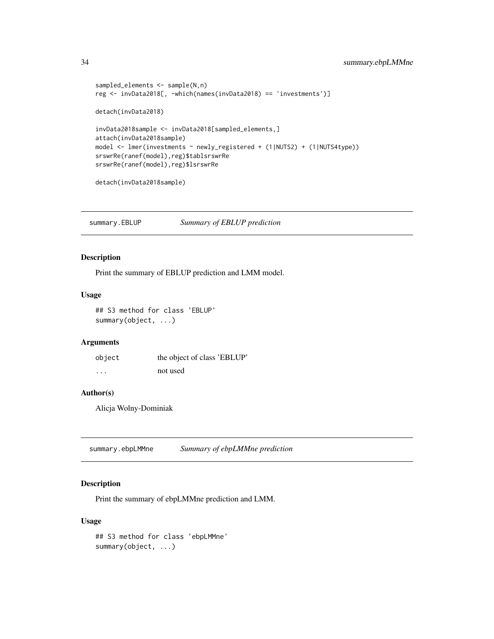```
sampled_elements <- sample(N,n)
reg <- invData2018[, -which(names(invData2018) == 'investments')]
detach(invData2018)
invData2018sample <- invData2018[sampled_elements,]
attach(invData2018sample)
model <- lmer(investments ~ newly_registered + (1|NUTS2) + (1|NUTS4type))
srswrRe(ranef(model),reg)$tablsrswrRe
srswrRe(ranef(model),reg)$lsrswrRe
detach(invData2018sample)
```
summary.EBLUP *Summary of EBLUP prediction*

## Description

Print the summary of EBLUP prediction and LMM model.

# Usage

## S3 method for class 'EBLUP' summary(object, ...)

# Arguments

| object   | the object of class 'EBLUP' |
|----------|-----------------------------|
| $\cdots$ | not used                    |

# Author(s)

Alicja Wolny-Dominiak

summary.ebpLMMne *Summary of ebpLMMne prediction*

# Description

Print the summary of ebpLMMne prediction and LMM.

#### Usage

## S3 method for class 'ebpLMMne' summary(object, ...)

<span id="page-33-0"></span>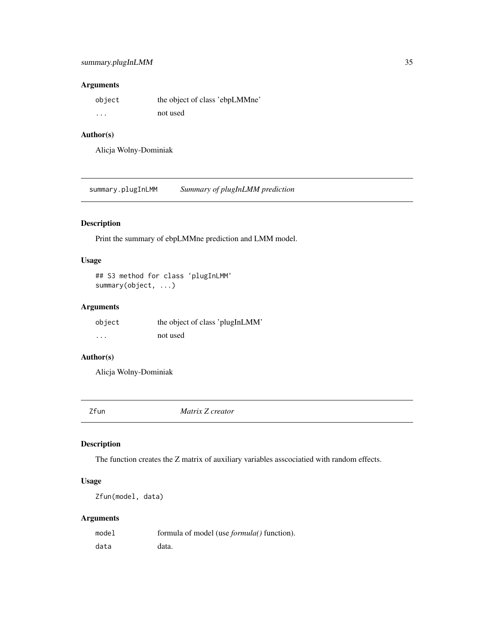# <span id="page-34-0"></span>Arguments

| object   | the object of class 'ebpLMMne' |
|----------|--------------------------------|
| $\cdots$ | not used                       |

# Author(s)

Alicja Wolny-Dominiak

summary.plugInLMM *Summary of plugInLMM prediction*

# Description

Print the summary of ebpLMMne prediction and LMM model.

# Usage

## S3 method for class 'plugInLMM' summary(object, ...)

# Arguments

| object   | the object of class 'plugInLMM' |
|----------|---------------------------------|
| $\cdots$ | not used                        |

# Author(s)

Alicja Wolny-Dominiak

Zfun *Matrix Z creator*

# Description

The function creates the Z matrix of auxiliary variables asscociatied with random effects.

# Usage

```
Zfun(model, data)
```
# Arguments

| model | formula of model (use <i>formula()</i> function). |
|-------|---------------------------------------------------|
| data  | data.                                             |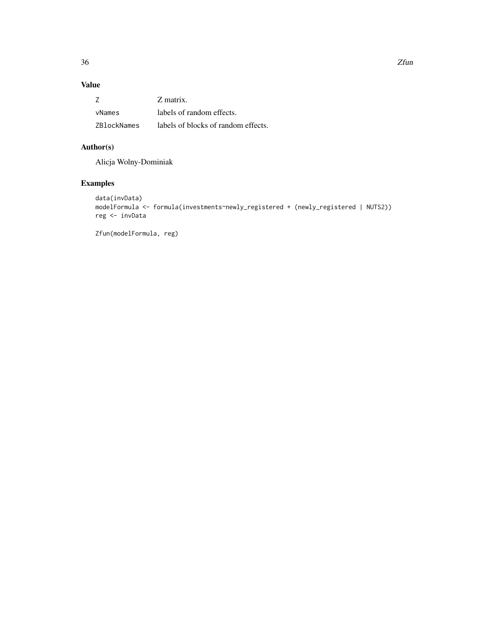# Value

|             | Z matrix.                           |
|-------------|-------------------------------------|
| vNames      | labels of random effects.           |
| ZBlockNames | labels of blocks of random effects. |

# Author(s)

Alicja Wolny-Dominiak

# Examples

```
data(invData)
modelFormula <- formula(investments~newly_registered + (newly_registered | NUTS2))
reg <- invData
```
Zfun(modelFormula, reg)